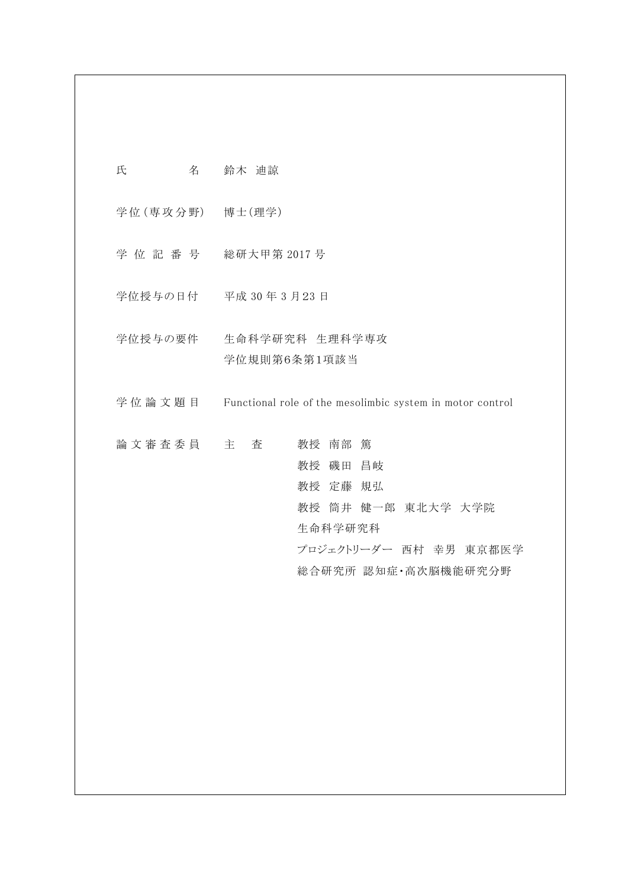| 氏<br>名            | 鈴木 迪諒                                                                                                                  |
|-------------------|------------------------------------------------------------------------------------------------------------------------|
| 学位 (専攻分野) 博士 (理学) |                                                                                                                        |
|                   | 学位記番号 総研大甲第2017号                                                                                                       |
|                   | 学位授与の日付 平成 30年3月23日                                                                                                    |
|                   | 学位授与の要件 生命科学研究科 生理科学専攻<br>学位規則第6条第1項該当                                                                                 |
| 学位 論 文 題 目        | Functional role of the mesolimbic system in motor control                                                              |
| 論 文 審 査 委 員 立 主   | 教授 南部 篤<br>査<br>教授 磯田 昌岐<br>教授 定藤 規弘<br>教授 筒井 健一郎 東北大学 大学院<br>生命科学研究科<br>プロジェクトリーダー 西村 幸男 東京都医学<br>総合研究所 認知症•高次脳機能研究分野 |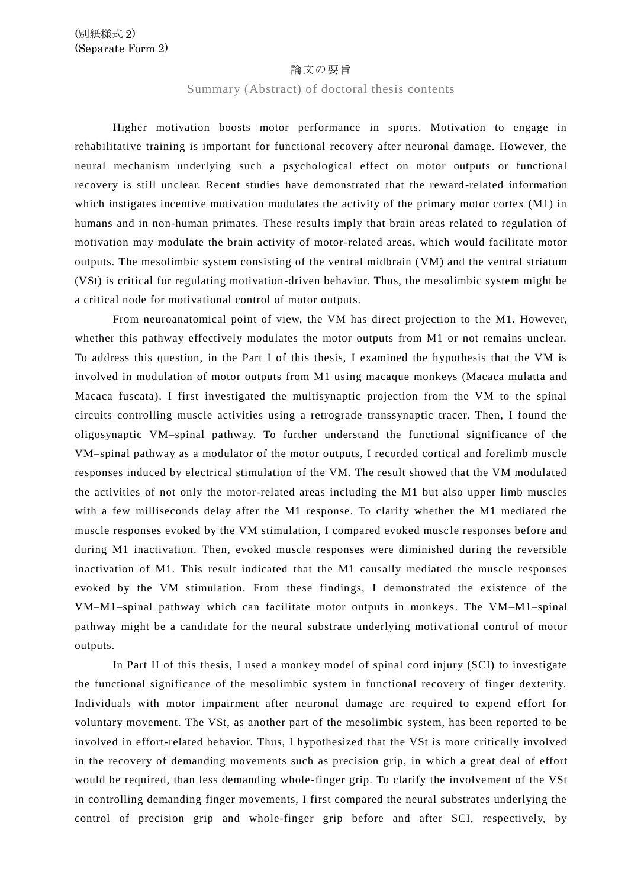## 論文の要旨

## Summary (Abstract) of doctoral thesis contents

Higher motivation boosts motor performance in sports. Motivation to engage in rehabilitative training is important for functional recovery after neuronal damage. However, the neural mechanism underlying such a psychological effect on motor outputs or functional recovery is still unclear. Recent studies have demonstrated that the reward -related information which instigates incentive motivation modulates the activity of the primary motor cortex (M1) in humans and in non-human primates. These results imply that brain areas related to regulation of motivation may modulate the brain activity of motor-related areas, which would facilitate motor outputs. The mesolimbic system consisting of the ventral midbrain (VM) and the ventral striatum (VSt) is critical for regulating motivation-driven behavior. Thus, the mesolimbic system might be a critical node for motivational control of motor outputs.

From neuroanatomical point of view, the VM has direct projection to the M1. However, whether this pathway effectively modulates the motor outputs from M1 or not remains unclear. To address this question, in the Part I of this thesis, I examined the hypothesis that the VM is involved in modulation of motor outputs from M1 using macaque monkeys (Macaca mulatta and Macaca fuscata). I first investigated the multisynaptic projection from the VM to the spinal circuits controlling muscle activities using a retrograde transsynaptic tracer. Then, I found the oligosynaptic VM–spinal pathway. To further understand the functional significance of the VM–spinal pathway as a modulator of the motor outputs, I recorded cortical and forelimb muscle responses induced by electrical stimulation of the VM. The result showed that the VM modulated the activities of not only the motor-related areas including the M1 but also upper limb muscles with a few milliseconds delay after the M1 response. To clarify whether the M1 mediated the muscle responses evoked by the VM stimulation, I compared evoked muscle responses before and during M1 inactivation. Then, evoked muscle responses were diminished during the reversible inactivation of M1. This result indicated that the M1 causally mediated the muscle responses evoked by the VM stimulation. From these findings, I demonstrated the existence of the VM–M1–spinal pathway which can facilitate motor outputs in monkeys. The VM–M1–spinal pathway might be a candidate for the neural substrate underlying motivational control of motor outputs.

In Part II of this thesis, I used a monkey model of spinal cord injury (SCI) to investigate the functional significance of the mesolimbic system in functional recovery of finger dexterity. Individuals with motor impairment after neuronal damage are required to expend effort for voluntary movement. The VSt, as another part of the mesolimbic system, has been reported to be involved in effort-related behavior. Thus, I hypothesized that the VSt is more critically involved in the recovery of demanding movements such as precision grip, in which a great deal of effort would be required, than less demanding whole-finger grip. To clarify the involvement of the VSt in controlling demanding finger movements, I first compared the neural substrates underlying the control of precision grip and whole-finger grip before and after SCI, respectively, by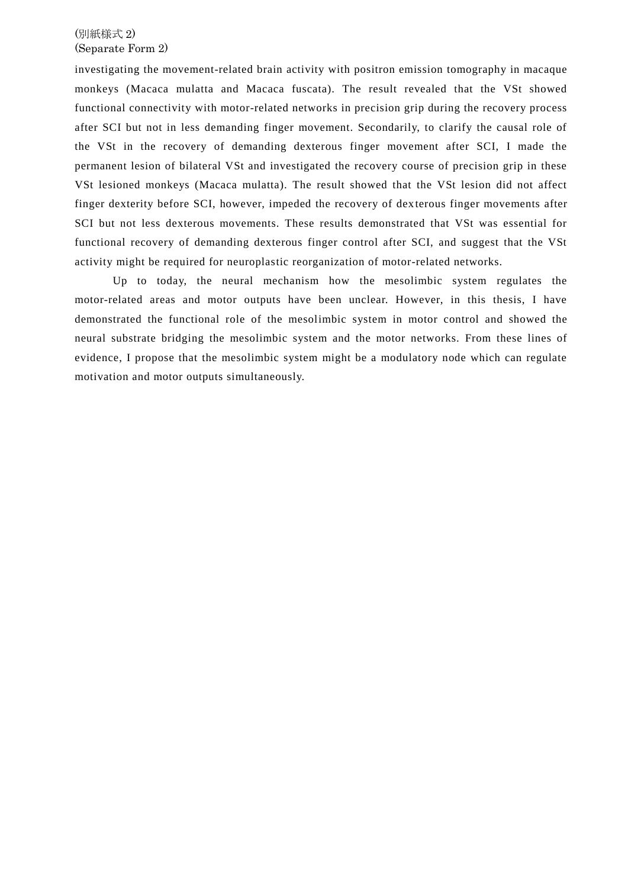## (別紙様式 2) (Separate Form 2)

investigating the movement-related brain activity with positron emission tomography in macaque monkeys (Macaca mulatta and Macaca fuscata). The result revealed that the VSt showed functional connectivity with motor-related networks in precision grip during the recovery process after SCI but not in less demanding finger movement. Secondarily, to clarify the causal role of the VSt in the recovery of demanding dexterous finger movement after SCI, I made the permanent lesion of bilateral VSt and investigated the recovery course of precision grip in these VSt lesioned monkeys (Macaca mulatta). The result showed that the VSt lesion did not affect finger dexterity before SCI, however, impeded the recovery of dex terous finger movements after SCI but not less dexterous movements. These results demonstrated that VSt was essential for functional recovery of demanding dexterous finger control after SCI, and suggest that the VSt activity might be required for neuroplastic reorganization of motor-related networks.

Up to today, the neural mechanism how the mesolimbic system regulates the motor-related areas and motor outputs have been unclear. However, in this thesis, I have demonstrated the functional role of the mesolimbic system in motor control and showed the neural substrate bridging the mesolimbic system and the motor networks. From these lines of evidence, I propose that the mesolimbic system might be a modulatory node which can regulate motivation and motor outputs simultaneously.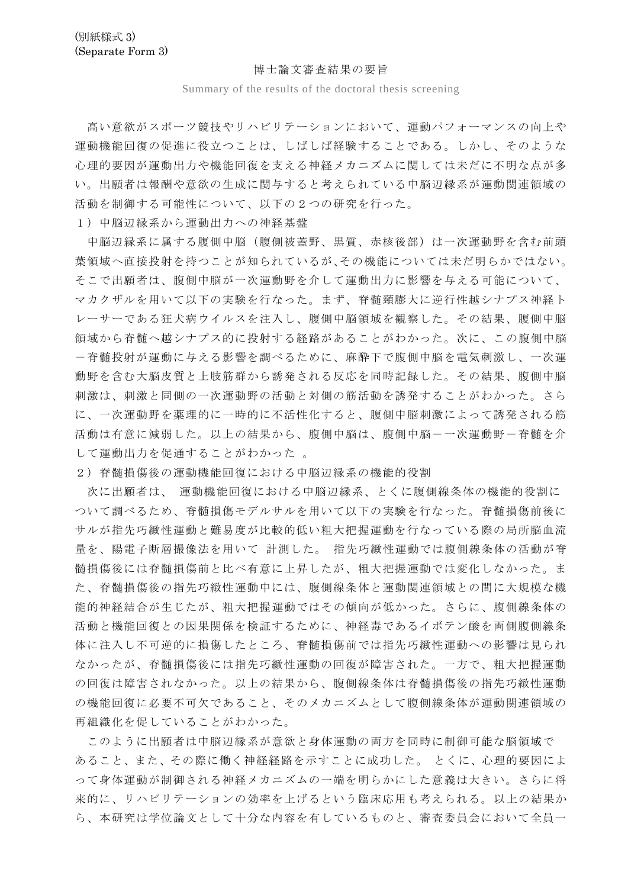## 博士論文審査結果の要旨

Summary of the results of the doctoral thesis screening

高い意欲がスポーツ競技やリハビリテーションにおいて、運動パフォーマンスの向上や 運動機能回復の促進に役立つことは、しばしば経験することである。しかし、そのような 心理的要因が運動出力や機能回復を支える神経メカニズムに関しては未だに不明な点が多 い。出願者は報酬や意欲の生成に関与すると考えられている中脳辺縁系が運動関連領域の 活動を制御する可能性について、以下の2つの研究を行った。

1)中脳辺縁系から運動出力への神経基盤

中脳辺縁系に属する腹側中脳(腹側被蓋野、黒質、赤核後部)は一次運動野を含む前頭 葉領域へ直接投射を持つことが知られているが、その機能については未だ明らかではない。 そこで出願者は、腹側中脳が一次運動野を介して運動出力に影響を与える可能について、 マカクザルを用いて以下の実験を行なった。まず、脊髄頸膨大に逆行性越シナプス神経ト レーサーである狂犬病ウイルスを注入し、腹側中脳領域を観察した。その結果、腹側中脳 領域から脊髄へ越シナプス的に投射する経路があることがわかった。次に、この腹側中脳 -脊髄投射が運動に与える影響を調べるために、麻酔下で腹側中脳を電気刺激し、一次運 動野を含む大脳皮質と上肢筋群から誘発される反応を同時記録した。その結果、腹側中脳 刺激は、刺激と同側の一次運動野の活動と対側の筋活動を誘発することがわかった。さら に、一次運動野を薬理的に一時的に不活性化すると、腹側中脳刺激によって誘発される筋 活動は有意に減弱した。以上の結果から、腹側中脳は、腹側中脳-一次運動野-脊髄を介 して運動出力を促通することがわかった 。

2)脊髄損傷後の運動機能回復における中脳辺縁系の機能的役割

次に出願者は、 運動機能回復における中脳辺縁系、とくに腹側線条体の機能的役割に ついて調べるため、脊髄損傷モデルサルを用いて以下の実験を行なった。脊髄損傷前後に サルが指先巧緻性運動と難易度が比較的低い粗大把握運動を行なっている際の局所脳血流 量を、陽電子断層撮像法を用いて 計測した。 指先巧緻性運動では腹側線条体の活動が脊 髄損傷後には脊髄損傷前と比べ有意に上昇したが、粗大把握運動では変化しなかった。ま た、脊髄損傷後の指先巧緻性運動中には、腹側線条体と運動関連領域との間に大規模な機 能的神経結合が生じたが、粗大把握運動ではその傾向が低かった。さらに、腹側線条体の 活動と機能回復との因果関係を検証するために、神経毒であるイボテン酸を両側腹側線条 体に注入し不可逆的に損傷したところ、脊髄損傷前では指先巧緻性運動への影響は見られ なかったが、脊髄損傷後には指先巧緻性運動の回復が障害された。一方で、粗大把握運動 の回復は障害されなかった。以上の結果から、腹側線条体は脊髄損傷後の指先巧緻性運動 の機能回復に必要不可欠であること、そのメカニズムとして腹側線条体が運動関連領域の 再組織化を促していることがわかった。

このように出願者は中脳辺縁系が意欲と身体運動の両方を同時に制御可能な脳領域で あること、また、その際に働く神経経路を示すことに成功した。 とくに、心理的要因によ って身体運動が制御される神経メカニズムの一端を明らかにした意義は大きい。さらに将 来的に、リハビリテーションの効率を上げるという臨床応用も考えられる。以上の結果か ら、本研究は学位論文として十分な内容を有しているものと、審査委員会において全員一